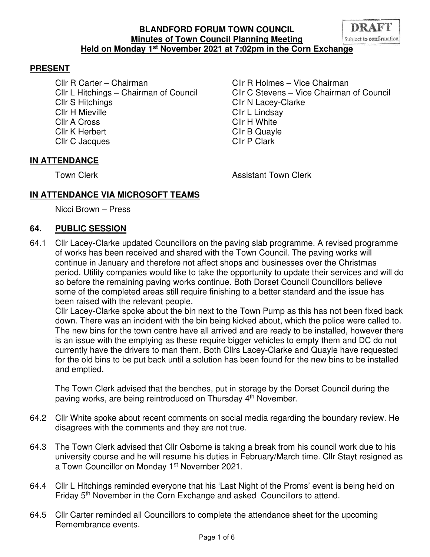

Cllr R Carter – Chairman Cllr R Holmes – Vice Chairman Cllr S Hitchings Cllr N Lacey-Clarke Cllr H Mieville **Cllr** H Mieville Cllr A Cross Cllr H White Cllr K Herbert Cllr B Quayle Cllr C Jacques Cllr P Clark

Cllr L Hitchings – Chairman of Council Cllr C Stevens – Vice Chairman of Council

## **IN ATTENDANCE**

Town Clerk **Assistant Town Clerk Assistant Town Clerk** 

## **IN ATTENDANCE VIA MICROSOFT TEAMS**

Nicci Brown – Press

#### **64. PUBLIC SESSION**

64.1 Cllr Lacey-Clarke updated Councillors on the paving slab programme. A revised programme of works has been received and shared with the Town Council. The paving works will continue in January and therefore not affect shops and businesses over the Christmas period. Utility companies would like to take the opportunity to update their services and will do so before the remaining paving works continue. Both Dorset Council Councillors believe some of the completed areas still require finishing to a better standard and the issue has been raised with the relevant people.

Cllr Lacey-Clarke spoke about the bin next to the Town Pump as this has not been fixed back down. There was an incident with the bin being kicked about, which the police were called to. The new bins for the town centre have all arrived and are ready to be installed, however there is an issue with the emptying as these require bigger vehicles to empty them and DC do not currently have the drivers to man them. Both Cllrs Lacey-Clarke and Quayle have requested for the old bins to be put back until a solution has been found for the new bins to be installed and emptied.

The Town Clerk advised that the benches, put in storage by the Dorset Council during the paving works, are being reintroduced on Thursday 4th November.

- 64.2 Cllr White spoke about recent comments on social media regarding the boundary review. He disagrees with the comments and they are not true.
- 64.3 The Town Clerk advised that Cllr Osborne is taking a break from his council work due to his university course and he will resume his duties in February/March time. Cllr Stayt resigned as a Town Councillor on Monday 1<sup>st</sup> November 2021.
- 64.4 Cllr L Hitchings reminded everyone that his 'Last Night of the Proms' event is being held on Friday 5<sup>th</sup> November in the Corn Exchange and asked Councillors to attend.
- 64.5 Cllr Carter reminded all Councillors to complete the attendance sheet for the upcoming Remembrance events.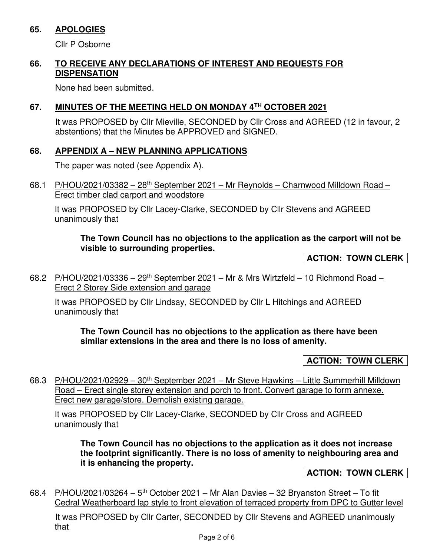### **65. APOLOGIES**

Cllr P Osborne

## **66. TO RECEIVE ANY DECLARATIONS OF INTEREST AND REQUESTS FOR DISPENSATION**

None had been submitted.

### **67. MINUTES OF THE MEETING HELD ON MONDAY 4TH OCTOBER 2021**

It was PROPOSED by Cllr Mieville, SECONDED by Cllr Cross and AGREED (12 in favour, 2 abstentions) that the Minutes be APPROVED and SIGNED.

#### **68. APPENDIX A – NEW PLANNING APPLICATIONS**

The paper was noted (see Appendix A).

68.1 P/HOU/2021/03382 - 28<sup>th</sup> September 2021 - Mr Reynolds - Charnwood Milldown Road -Erect timber clad carport and woodstore

It was PROPOSED by Cllr Lacey-Clarke, SECONDED by Cllr Stevens and AGREED unanimously that

#### **The Town Council has no objections to the application as the carport will not be visible to surrounding properties.**

**ACTION: TOWN CLERK** 

68.2 P/HOU/2021/03336 – 29<sup>th</sup> September 2021 – Mr & Mrs Wirtzfeld – 10 Richmond Road – Erect 2 Storey Side extension and garage

It was PROPOSED by Cllr Lindsay, SECONDED by Cllr L Hitchings and AGREED unanimously that

**The Town Council has no objections to the application as there have been similar extensions in the area and there is no loss of amenity.** 

## **ACTION: TOWN CLERK**

68.3 P/HOU/2021/02929 – 30th September 2021 – Mr Steve Hawkins – Little Summerhill Milldown Road – Erect single storey extension and porch to front. Convert garage to form annexe. Erect new garage/store. Demolish existing garage.

It was PROPOSED by Cllr Lacey-Clarke, SECONDED by Cllr Cross and AGREED unanimously that

**The Town Council has no objections to the application as it does not increase the footprint significantly. There is no loss of amenity to neighbouring area and it is enhancing the property.** 

**ACTION: TOWN CLERK** 

68.4 P/HOU/2021/03264 –  $5<sup>th</sup>$  October 2021 – Mr Alan Davies – 32 Bryanston Street – To fit Cedral Weatherboard lap style to front elevation of terraced property from DPC to Gutter level

 It was PROPOSED by Cllr Carter, SECONDED by Cllr Stevens and AGREED unanimously that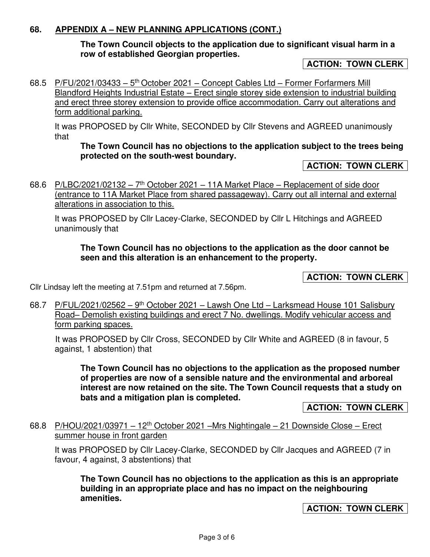### **68. APPENDIX A – NEW PLANNING APPLICATIONS (CONT.)**

### **The Town Council objects to the application due to significant visual harm in a row of established Georgian properties.**

#### **ACTION: TOWN CLERK**

68.5 P/FU/2021/03433 –  $5<sup>th</sup>$  October 2021 – Concept Cables Ltd – Former Forfarmers Mill Blandford Heights Industrial Estate – Erect single storey side extension to industrial building and erect three storey extension to provide office accommodation. Carry out alterations and form additional parking.

It was PROPOSED by Cllr White, SECONDED by Cllr Stevens and AGREED unanimously that

**The Town Council has no objections to the application subject to the trees being protected on the south-west boundary.** 

#### **ACTION: TOWN CLERK**

68.6 P/LBC/2021/02132 –  $7<sup>th</sup>$  October 2021 – 11A Market Place – Replacement of side door (entrance to 11A Market Place from shared passageway). Carry out all internal and external alterations in association to this.

It was PROPOSED by Cllr Lacey-Clarke, SECONDED by Cllr L Hitchings and AGREED unanimously that

#### **The Town Council has no objections to the application as the door cannot be seen and this alteration is an enhancement to the property.**

**ACTION: TOWN CLERK** 

Cllr Lindsay left the meeting at 7.51pm and returned at 7.56pm.

68.7 P/FUL/2021/02562 – 9<sup>th</sup> October 2021 – Lawsh One Ltd – Larksmead House 101 Salisbury Road– Demolish existing buildings and erect 7 No. dwellings. Modify vehicular access and form parking spaces.

 It was PROPOSED by Cllr Cross, SECONDED by Cllr White and AGREED (8 in favour, 5 against, 1 abstention) that

**The Town Council has no objections to the application as the proposed number of properties are now of a sensible nature and the environmental and arboreal interest are now retained on the site. The Town Council requests that a study on bats and a mitigation plan is completed.** 

**ACTION: TOWN CLERK** 

68.8 P/HOU/2021/03971 – 12<sup>th</sup> October 2021 –Mrs Nightingale – 21 Downside Close – Erect summer house in front garden

It was PROPOSED by Cllr Lacey-Clarke, SECONDED by Cllr Jacques and AGREED (7 in favour, 4 against, 3 abstentions) that

**The Town Council has no objections to the application as this is an appropriate building in an appropriate place and has no impact on the neighbouring amenities.**

**ACTION: TOWN CLERK**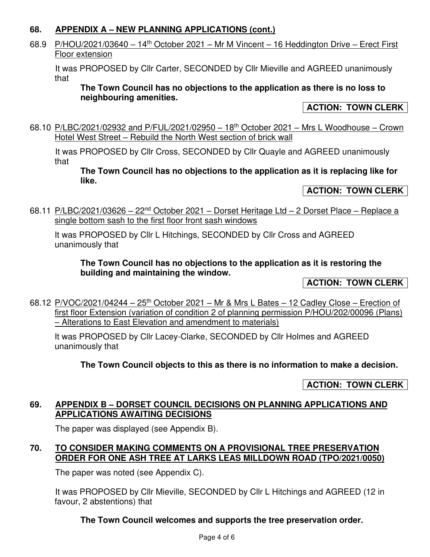## **68. APPENDIX A – NEW PLANNING APPLICATIONS (cont.)**

# 68.9 P/HOU/2021/03640 – 14<sup>th</sup> October 2021 – Mr M Vincent – 16 Heddington Drive – Erect First Floor extension

 It was PROPOSED by Cllr Carter, SECONDED by Cllr Mieville and AGREED unanimously that

**The Town Council has no objections to the application as there is no loss to neighbouring amenities.** 

## **ACTION: TOWN CLERK**

68.10 P/LBC/2021/02932 and P/FUL/2021/02950 - 18<sup>th</sup> October 2021 - Mrs L Woodhouse - Crown Hotel West Street – Rebuild the North West section of brick wall

 It was PROPOSED by Cllr Cross, SECONDED by Cllr Quayle and AGREED unanimously that

**The Town Council has no objections to the application as it is replacing like for like.** 

# **ACTION: TOWN CLERK**

68.11 P/LBC/2021/03626 – 22<sup>nd</sup> October 2021 – Dorset Heritage Ltd – 2 Dorset Place – Replace a single bottom sash to the first floor front sash windows

It was PROPOSED by Cllr L Hitchings, SECONDED by Cllr Cross and AGREED unanimously that

**The Town Council has no objections to the application as it is restoring the building and maintaining the window.** 

**ACTION: TOWN CLERK**

68.12  $P/VOC/2021/04244 - 25<sup>th</sup> October 2021 - Mr & Mrs L Bates - 12 Cadley Close - Erection of$ first floor Extension (variation of condition 2 of planning permission P/HOU/202/00096 (Plans) – Alterations to East Elevation and amendment to materials)

It was PROPOSED by Cllr Lacey-Clarke, SECONDED by Cllr Holmes and AGREED unanimously that

## **The Town Council objects to this as there is no information to make a decision.**

**ACTION: TOWN CLERK** 

#### **69. APPENDIX B – DORSET COUNCIL DECISIONS ON PLANNING APPLICATIONS AND APPLICATIONS AWAITING DECISIONS**

The paper was displayed (see Appendix B).

## **70. TO CONSIDER MAKING COMMENTS ON A PROVISIONAL TREE PRESERVATION ORDER FOR ONE ASH TREE AT LARKS LEAS MILLDOWN ROAD (TPO/2021/0050)**

The paper was noted (see Appendix C).

It was PROPOSED by Cllr Mieville, SECONDED by Cllr L Hitchings and AGREED (12 in favour, 2 abstentions) that

## **The Town Council welcomes and supports the tree preservation order.**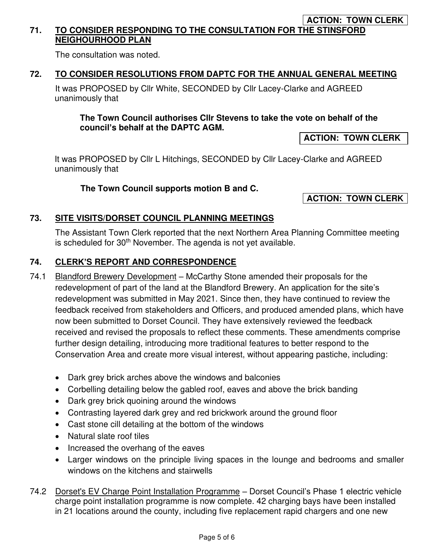#### **ACTION: TOWN CLERK 71. TO CONSIDER RESPONDING TO THE CONSULTATION FOR THE STINSFORD NEIGHOURHOOD PLAN**

The consultation was noted.

## **72. TO CONSIDER RESOLUTIONS FROM DAPTC FOR THE ANNUAL GENERAL MEETING**

It was PROPOSED by Cllr White, SECONDED by Cllr Lacey-Clarke and AGREED unanimously that

### **The Town Council authorises Cllr Stevens to take the vote on behalf of the council's behalf at the DAPTC AGM.**

### **ACTION: TOWN CLERK**

It was PROPOSED by Cllr L Hitchings, SECONDED by Cllr Lacey-Clarke and AGREED unanimously that

#### **The Town Council supports motion B and C.**

**ACTION: TOWN CLERK** 

#### **73. SITE VISITS/DORSET COUNCIL PLANNING MEETINGS**

The Assistant Town Clerk reported that the next Northern Area Planning Committee meeting is scheduled for  $30<sup>th</sup>$  November. The agenda is not yet available.

#### **74. CLERK'S REPORT AND CORRESPONDENCE**

- 74.1 Blandford Brewery Development McCarthy Stone amended their proposals for the redevelopment of part of the land at the Blandford Brewery. An application for the site's redevelopment was submitted in May 2021. Since then, they have continued to review the feedback received from stakeholders and Officers, and produced amended plans, which have now been submitted to Dorset Council. They have extensively reviewed the feedback received and revised the proposals to reflect these comments. These amendments comprise further design detailing, introducing more traditional features to better respond to the Conservation Area and create more visual interest, without appearing pastiche, including:
	- Dark grey brick arches above the windows and balconies
	- Corbelling detailing below the gabled roof, eaves and above the brick banding
	- Dark grey brick quoining around the windows
	- Contrasting layered dark grey and red brickwork around the ground floor
	- Cast stone cill detailing at the bottom of the windows
	- Natural slate roof tiles
	- Increased the overhang of the eaves
	- Larger windows on the principle living spaces in the lounge and bedrooms and smaller windows on the kitchens and stairwells
- 74.2 Dorset's EV Charge Point Installation Programme Dorset Council's Phase 1 electric vehicle charge point installation programme is now complete. 42 charging bays have been installed in 21 locations around the county, including five replacement rapid chargers and one new